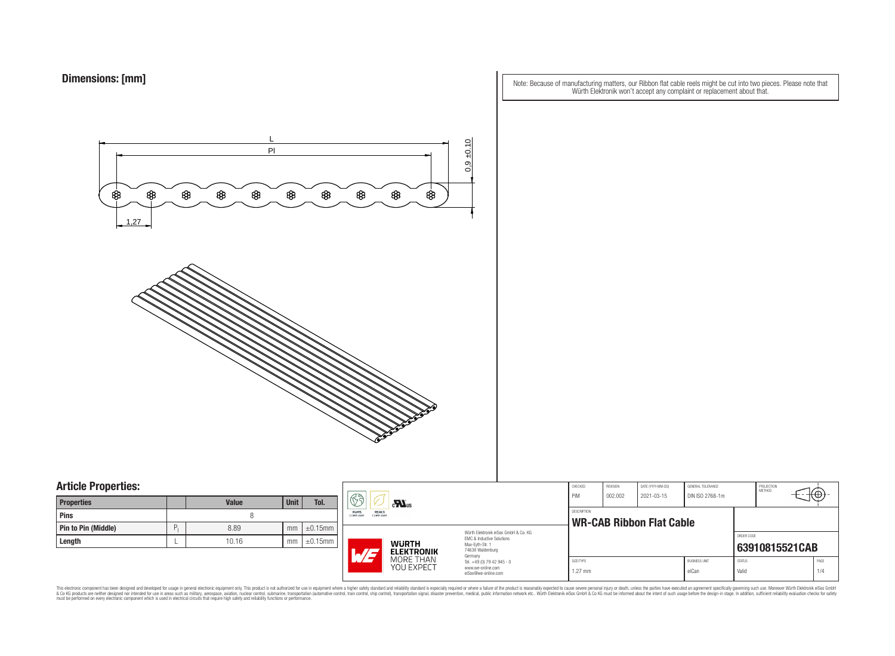Note: Because of manufacturing matters, our Ribbon flat cable reels might be cut into two pieces. Please note that Würth Elektronik won't accept any complaint or replacement about that.



### **Article Properties:**

| <b>Properties</b>   |   | <b>Value</b> | <b>Unit</b> | Tol.          |
|---------------------|---|--------------|-------------|---------------|
| <b>Pins</b>         |   |              |             |               |
| Pin to Pin (Middle) | P | 8.89         | mm          | $\pm 0.15$ mm |
| Length              |   | 10.16        | mm          | $\pm 0.15$ mm |

|   | S)<br>$c$ <b>N</b> <sub>us</sub> |                                                                                                                                                                   | CHECKED<br>PiM                                                                    | REVISION<br>002.002                            | DATE (YYYY-MM-DD)<br>2021-03-15 | <b>GENERAL TOLERANCE</b><br>DIN ISO 2768-1m |                               | PROJECTION<br><b>METHOD</b> |                |             |
|---|----------------------------------|-------------------------------------------------------------------------------------------------------------------------------------------------------------------|-----------------------------------------------------------------------------------|------------------------------------------------|---------------------------------|---------------------------------------------|-------------------------------|-----------------------------|----------------|-------------|
| m | RoHS<br>REACh<br>COMPLIANT       | <b>COMPLIANT</b><br>Würth Elektronik eiSos GmbH & Co. KG<br>EMC & Inductive Solutions<br><b>WURTH</b><br>Max-Eyth-Str. 1<br>74638 Waldenburg<br><b>ELEKTRONIK</b> |                                                                                   | DESCRIPTION<br><b>WR-CAB Ribbon Flat Cable</b> |                                 |                                             |                               |                             |                |             |
| m | W/a                              |                                                                                                                                                                   |                                                                                   |                                                |                                 |                                             |                               | ORDER CODE                  | 63910815521CAB |             |
|   |                                  | MORE THAN<br>YOU EXPECT                                                                                                                                           | Germany<br>Tel. +49 (0) 79 42 945 - 0<br>www.we-online.com<br>eiSos@we-online.com | SIZE/TYPE<br>$1.27$ mm                         |                                 |                                             | <b>BUSINESS UNIT</b><br>eiCan | <b>STATUS</b><br>Valid      |                | PAGE<br>1/4 |

This electronic component has been designed and developed for usage in general electronic equipment only. This product is not authorized for subserved requipment where a higher selection equipment where a higher selection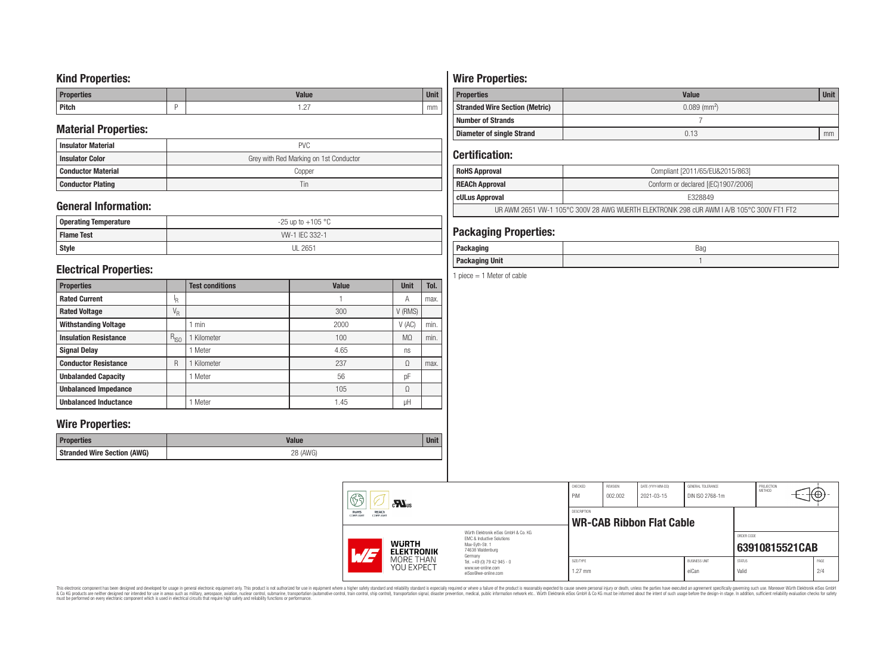### **Kind Properties:**

| <b>Properties</b> | <b>Value</b>                     | $H = 14$<br>vm |
|-------------------|----------------------------------|----------------|
| <b>Pitch</b>      | $\sim$<br>$\cdot$ $\sim$ $\cdot$ | mm             |

### **Material Properties:**

| <b>Insulator Material</b> | <b>PVC</b>                             |
|---------------------------|----------------------------------------|
| <b>Insulator Color</b>    | Grey with Red Marking on 1st Conductor |
| <b>Conductor Material</b> | Copper                                 |
| <b>Conductor Plating</b>  | Tin                                    |

## **General Information:**

| Operating Temperature | $-25$ up to $+105$ °C |  |  |  |  |
|-----------------------|-----------------------|--|--|--|--|
| <b>Flame Test</b>     | W-1 IEC 332-1         |  |  |  |  |
| <b>Style</b>          | <b>UL 2651</b>        |  |  |  |  |

### **Electrical Properties:**

| <b>Properties</b>            |                           | <b>Test conditions</b> | <b>Value</b> | <b>Unit</b>    | Tol. |
|------------------------------|---------------------------|------------------------|--------------|----------------|------|
| <b>Rated Current</b>         | ΙŖ.                       |                        |              | Α              | max. |
| <b>Rated Voltage</b>         | $\mathrm{V}_{\mathrm{R}}$ |                        | 300          | V (RMS)        |      |
| <b>Withstanding Voltage</b>  |                           | min                    | 2000         | V(AC)          | min. |
| <b>Insulation Resistance</b> | $R_{ISO}$                 | Kilometer              | 100          | M <sub>0</sub> | min. |
| <b>Signal Delay</b>          |                           | Meter                  | 4.65         | ns             |      |
| <b>Conductor Resistance</b>  | R                         | Kilometer              | 237          | Ω              | max. |
| <b>Unbalanded Capacity</b>   |                           | Meter                  | 56           | pF             |      |
| <b>Unbalanced Impedance</b>  |                           |                        | 105          | Ω              |      |
| <b>Unbalanced Inductance</b> |                           | Meter                  | 1.45         | μH             |      |

### **Wire Properties:**

| Properties                         | <b>Valut</b>   | <b>Unit</b> |
|------------------------------------|----------------|-------------|
| <b>Stranded Wire Section (AWG)</b> | 28 (AWG)<br>∠∪ |             |

# **Wire Properties:**

| <b>Properties</b>                                                   | <b>Value</b> | <b>Unit</b> |  |
|---------------------------------------------------------------------|--------------|-------------|--|
| $0.089$ (mm <sup>2</sup> )<br><b>Stranded Wire Section (Metric)</b> |              |             |  |
| <b>Number of Strands</b>                                            |              |             |  |
| <b>Diameter of single Strand</b>                                    | 0.13         | mm          |  |

# **Certification:**

| <b>RoHS Approval</b>                                                                      | Compliant [2011/65/EU&2015/863]     |  |
|-------------------------------------------------------------------------------------------|-------------------------------------|--|
| <b>REACh Approval</b>                                                                     | Conform or declared [(EC)1907/2006] |  |
| cULus Approval                                                                            | F328849                             |  |
| UR AWM 2651 VW-1 105°C 300V 28 AWG WUERTH ELEKTRONIK 298 cUR AWM I A/B 105°C 300V FT1 FT2 |                                     |  |

## **Packaging Properties:**

| -----<br>rackayıny       | Bag |
|--------------------------|-----|
| <b>Unit</b><br>Packaging |     |

1 piece  $= 1$  Meter of cable

| 63<br>$c$ <b>N</b> <sub>us</sub><br>REACh<br>RoHS   |                                                                                   | CHECKED<br>PiM<br>DESCRIPTION                                    | REVISION<br>002.002 | DATE (YYYY-MM-DD)<br>2021-03-15 | GENERAL TOLERANCE<br>DIN ISO 2768-1m |                        | PROJECTION<br>METHOD | ₩Φ.            |  |
|-----------------------------------------------------|-----------------------------------------------------------------------------------|------------------------------------------------------------------|---------------------|---------------------------------|--------------------------------------|------------------------|----------------------|----------------|--|
| COMPLIANT<br>COMPLIANT                              |                                                                                   | Würth Elektronik eiSos GmbH & Co. KG                             |                     |                                 | <b>WR-CAB Ribbon Flat Cable</b>      |                        |                      |                |  |
| <b>WURTH</b><br>$\overline{M}$<br><b>ELEKTRONIK</b> |                                                                                   | EMC & Inductive Solutions<br>Max-Evth-Str. 1<br>74638 Waldenburg |                     |                                 |                                      |                        | ORDER CODE           | 63910815521CAB |  |
| MORE THAN<br>YOU EXPECT                             | Germany<br>Tel. +49 (0) 79 42 945 - 0<br>www.we-online.com<br>eiSos@we-online.com | SIZE/TYPE<br>$1.27$ mm                                           |                     |                                 | <b>BUSINESS UNIT</b><br>eiCan        | <b>STATUS</b><br>Valid |                      | PAGE<br>2/4    |  |

This electronic component has been designed and developed for usage in general electronic equipment only. This product is not authorized for subserved requipment where a higher selection equipment where a higher selection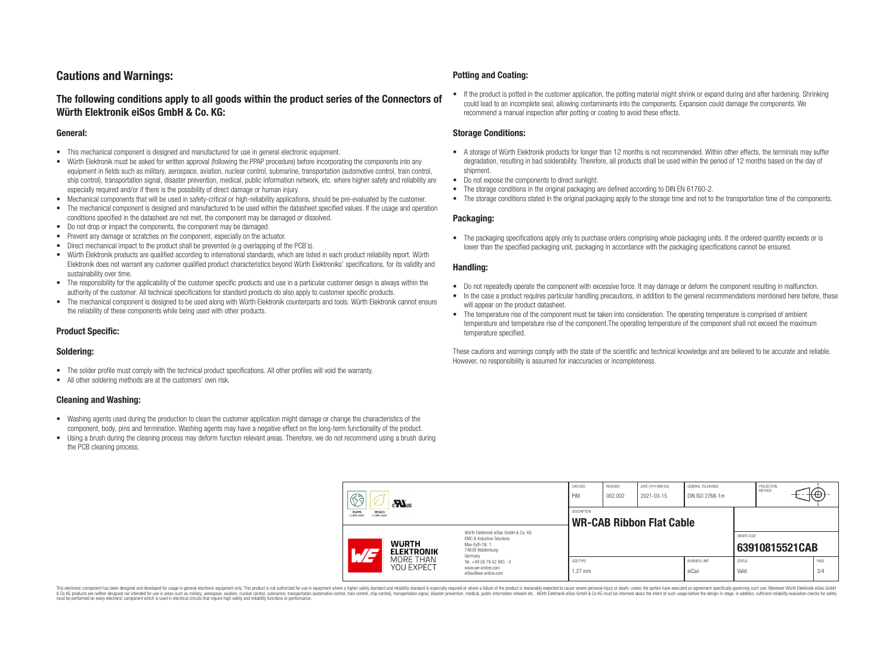## **Cautions and Warnings:**

### **The following conditions apply to all goods within the product series of the Connectors of Würth Elektronik eiSos GmbH & Co. KG:**

#### **General:**

- This mechanical component is designed and manufactured for use in general electronic equipment.
- Würth Elektronik must be asked for written approval (following the PPAP procedure) before incorporating the components into any equipment in fields such as military, aerospace, aviation, nuclear control, submarine, transportation (automotive control, train control, ship control), transportation signal, disaster prevention, medical, public information network, etc. where higher safety and reliability are especially required and/or if there is the possibility of direct damage or human injury.
- Mechanical components that will be used in safety-critical or high-reliability applications, should be pre-evaluated by the customer.
- The mechanical component is designed and manufactured to be used within the datasheet specified values. If the usage and operation conditions specified in the datasheet are not met, the component may be damaged or dissolved.
- Do not drop or impact the components, the component may be damaged.
- Prevent any damage or scratches on the component, especially on the actuator.
- Direct mechanical impact to the product shall be prevented (e.g overlapping of the PCB's).
- Würth Elektronik products are qualified according to international standards, which are listed in each product reliability report. Würth Elektronik does not warrant any customer qualified product characteristics beyond Würth Elektroniks' specifications, for its validity and sustainability over time.
- The responsibility for the applicability of the customer specific products and use in a particular customer design is always within the authority of the customer. All technical specifications for standard products do also apply to customer specific products.
- The mechanical component is designed to be used along with Würth Elektronik counterparts and tools. Würth Elektronik cannot ensure the reliability of these components while being used with other products.

#### **Product Specific:**

#### **Soldering:**

- The solder profile must comply with the technical product specifications. All other profiles will void the warranty.
- All other soldering methods are at the customers' own risk.

#### **Cleaning and Washing:**

- Washing agents used during the production to clean the customer application might damage or change the characteristics of the component, body, pins and termination. Washing agents may have a negative effect on the long-term functionality of the product.
- Using a brush during the cleaning process may deform function relevant areas. Therefore, we do not recommend using a brush during the PCB cleaning process.

#### **Potting and Coating:**

• If the product is potted in the customer application, the potting material might shrink or expand during and after hardening. Shrinking could lead to an incomplete seal, allowing contaminants into the components. Expansion could damage the components. We recommend a manual inspection after potting or coating to avoid these effects.

#### **Storage Conditions:**

- A storage of Würth Elektronik products for longer than 12 months is not recommended. Within other effects, the terminals may suffer degradation, resulting in bad solderability. Therefore, all products shall be used within the period of 12 months based on the day of shipment.
- Do not expose the components to direct sunlight.
- The storage conditions in the original packaging are defined according to DIN EN 61760-2.
- The storage conditions stated in the original packaging apply to the storage time and not to the transportation time of the components.

#### **Packaging:**

• The packaging specifications apply only to purchase orders comprising whole packaging units. If the ordered quantity exceeds or is lower than the specified packaging unit, packaging in accordance with the packaging specifications cannot be ensured.

#### **Handling:**

- Do not repeatedly operate the component with excessive force. It may damage or deform the component resulting in malfunction.
- In the case a product requires particular handling precautions, in addition to the general recommendations mentioned here before, these will appear on the product datasheet
- The temperature rise of the component must be taken into consideration. The operating temperature is comprised of ambient temperature and temperature rise of the component.The operating temperature of the component shall not exceed the maximum temperature specified.

These cautions and warnings comply with the state of the scientific and technical knowledge and are believed to be accurate and reliable. However, no responsibility is assumed for inaccuracies or incompleteness.

| 63<br>$\mathbf{M}_{\text{us}}$<br><b>RoHS</b><br><b>REACh</b><br><b>COMPLIANT</b><br>COMPLIANT |                                                                                                                                               | CHECKED<br>PiM         | <b>REVISION</b><br>002.002 | DATE (YYYY-MM-DD)<br>2021-03-15 | GENERAL TOLERANCE<br>DIN ISO 2768-1m |                        | PROJECTION<br><b>METHOD</b> | €⊕∶         |
|------------------------------------------------------------------------------------------------|-----------------------------------------------------------------------------------------------------------------------------------------------|------------------------|----------------------------|---------------------------------|--------------------------------------|------------------------|-----------------------------|-------------|
|                                                                                                |                                                                                                                                               | <b>DESCRIPTION</b>     |                            | <b>WR-CAB Ribbon Flat Cable</b> |                                      |                        |                             |             |
| AT                                                                                             | Würth Flektronik eiSos GmbH & Co. KG<br>EMC & Inductive Solutions<br><b>WURTH</b><br>Max-Evth-Str. 1<br>74638 Waldenburg<br><b>ELEKTRONIK</b> |                        |                            |                                 |                                      | ORDER CODE             | 63910815521CAB              |             |
| MORE THAN<br><b>YOU EXPECT</b>                                                                 | Germany<br>Tel. +49 (0) 79 42 945 - 0<br>www.we-online.com<br>eiSos@we-online.com                                                             | SIZE/TYPE<br>$1.27$ mm |                            |                                 | <b>BUSINESS UNIT</b><br>eiCan        | <b>STATUS</b><br>Valid |                             | PAGE<br>3/4 |

This electronic component has been designed and developed for usage in general electronic equipment only. This product is not authorized for use in equipment where a higher safety standard and reliability standard si espec & Ook product a label and the membed of the seasuch as marked and as which such a membed and the such assume that income in the seasuch and the simulation and the such assume that include to the such a membed and the such